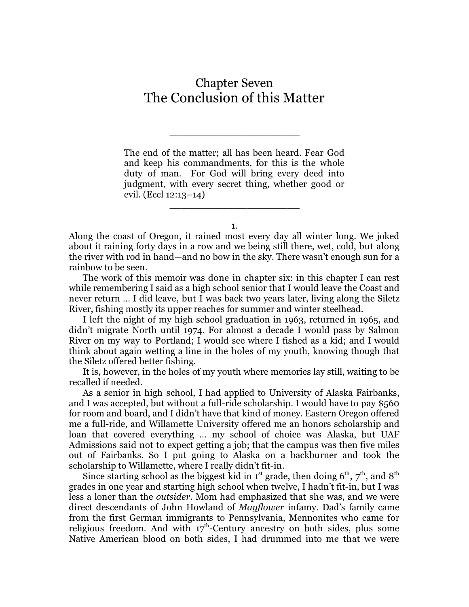## Chapter Seven The Conclusion of this Matter

\_\_\_\_\_\_\_\_\_\_\_\_\_\_\_\_\_\_\_\_\_\_

The end of the matter; all has been heard. Fear God and keep his commandments, for this is the whole duty of man. For God will bring every deed into judgment, with every secret thing, whether good or evil. (Eccl 12:13–14)

1.

\_\_\_\_\_\_\_\_\_\_\_\_\_\_\_\_\_\_\_\_\_\_

Along the coast of Oregon, it rained most every day all winter long. We joked about it raining forty days in a row and we being still there, wet, cold, but along the river with rod in hand—and no bow in the sky. There wasn't enough sun for a rainbow to be seen.

The work of this memoir was done in chapter six: in this chapter I can rest while remembering I said as a high school senior that I would leave the Coast and never return … I did leave, but I was back two years later, living along the Siletz River, fishing mostly its upper reaches for summer and winter steelhead.

I left the night of my high school graduation in 1963, returned in 1965, and didn't migrate North until 1974. For almost a decade I would pass by Salmon River on my way to Portland; I would see where I fished as a kid; and I would think about again wetting a line in the holes of my youth, knowing though that the Siletz offered better fishing.

It is, however, in the holes of my youth where memories lay still, waiting to be recalled if needed.

As a senior in high school, I had applied to University of Alaska Fairbanks, and I was accepted, but without a full-ride scholarship. I would have to pay \$560 for room and board, and I didn't have that kind of money. Eastern Oregon offered me a full-ride, and Willamette University offered me an honors scholarship and loan that covered everything … my school of choice was Alaska, but UAF Admissions said not to expect getting a job; that the campus was then five miles out of Fairbanks. So I put going to Alaska on a backburner and took the scholarship to Willamette, where I really didn't fit-in.

Since starting school as the biggest kid in 1<sup>st</sup> grade, then doing  $6^{\text{th}}$ ,  $7^{\text{th}}$ , and  $8^{\text{th}}$ grades in one year and starting high school when twelve, I hadn't fit-in, but I was less a loner than the *outsider*. Mom had emphasized that she was, and we were direct descendants of John Howland of *Mayflower* infamy. Dad's family came from the first German immigrants to Pennsylvania, Mennonites who came for religious freedom. And with  $17<sup>th</sup>$ -Century ancestry on both sides, plus some Native American blood on both sides, I had drummed into me that we were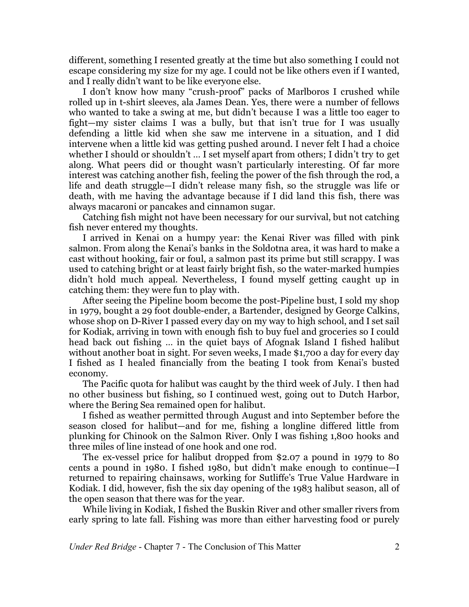different, something I resented greatly at the time but also something I could not escape considering my size for my age. I could not be like others even if I wanted, and I really didn't want to be like everyone else.

I don't know how many "crush-proof" packs of Marlboros I crushed while rolled up in t-shirt sleeves, ala James Dean. Yes, there were a number of fellows who wanted to take a swing at me, but didn't because I was a little too eager to fight—my sister claims I was a bully, but that isn't true for I was usually defending a little kid when she saw me intervene in a situation, and I did intervene when a little kid was getting pushed around. I never felt I had a choice whether I should or shouldn't … I set myself apart from others; I didn't try to get along. What peers did or thought wasn't particularly interesting. Of far more interest was catching another fish, feeling the power of the fish through the rod, a life and death struggle—I didn't release many fish, so the struggle was life or death, with me having the advantage because if I did land this fish, there was always macaroni or pancakes and cinnamon sugar.

Catching fish might not have been necessary for our survival, but not catching fish never entered my thoughts.

I arrived in Kenai on a humpy year: the Kenai River was filled with pink salmon. From along the Kenai's banks in the Soldotna area, it was hard to make a cast without hooking, fair or foul, a salmon past its prime but still scrappy. I was used to catching bright or at least fairly bright fish, so the water-marked humpies didn't hold much appeal. Nevertheless, I found myself getting caught up in catching them: they were fun to play with.

After seeing the Pipeline boom become the post-Pipeline bust, I sold my shop in 1979, bought a 29 foot double-ender, a Bartender, designed by George Calkins, whose shop on D-River I passed every day on my way to high school, and I set sail for Kodiak, arriving in town with enough fish to buy fuel and groceries so I could head back out fishing … in the quiet bays of Afognak Island I fished halibut without another boat in sight. For seven weeks, I made \$1,700 a day for every day I fished as I healed financially from the beating I took from Kenai's busted economy.

The Pacific quota for halibut was caught by the third week of July. I then had no other business but fishing, so I continued west, going out to Dutch Harbor, where the Bering Sea remained open for halibut.

I fished as weather permitted through August and into September before the season closed for halibut—and for me, fishing a longline differed little from plunking for Chinook on the Salmon River. Only I was fishing 1,800 hooks and three miles of line instead of one hook and one rod.

The ex-vessel price for halibut dropped from \$2.07 a pound in 1979 to 80 cents a pound in 1980. I fished 1980, but didn't make enough to continue—I returned to repairing chainsaws, working for Sutliffe's True Value Hardware in Kodiak. I did, however, fish the six day opening of the 1983 halibut season, all of the open season that there was for the year.

While living in Kodiak, I fished the Buskin River and other smaller rivers from early spring to late fall. Fishing was more than either harvesting food or purely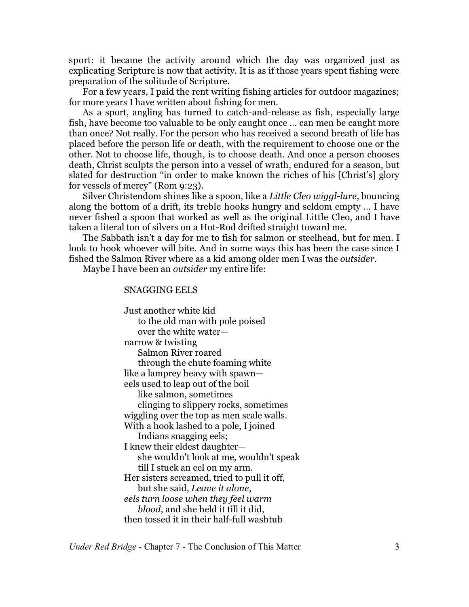sport: it became the activity around which the day was organized just as explicating Scripture is now that activity. It is as if those years spent fishing were preparation of the solitude of Scripture.

For a few years, I paid the rent writing fishing articles for outdoor magazines; for more years I have written about fishing for men.

As a sport, angling has turned to catch-and-release as fish, especially large fish, have become too valuable to be only caught once … can men be caught more than once? Not really. For the person who has received a second breath of life has placed before the person life or death, with the requirement to choose one or the other. Not to choose life, though, is to choose death. And once a person chooses death, Christ sculpts the person into a vessel of wrath, endured for a season, but slated for destruction "in order to make known the riches of his [Christ's] glory for vessels of mercy" (Rom 9:23).

Silver Christendom shines like a spoon, like a *Little Cleo wiggl-lure*, bouncing along the bottom of a drift, its treble hooks hungry and seldom empty … I have never fished a spoon that worked as well as the original Little Cleo, and I have taken a literal ton of silvers on a Hot-Rod drifted straight toward me.

The Sabbath isn't a day for me to fish for salmon or steelhead, but for men. I look to hook whoever will bite. And in some ways this has been the case since I fished the Salmon River where as a kid among older men I was the *outsider*.

Maybe I have been an *outsider* my entire life:

## SNAGGING EELS

Just another white kid to the old man with pole poised over the white water narrow & twisting Salmon River roared through the chute foaming white like a lamprey heavy with spawn eels used to leap out of the boil like salmon, sometimes clinging to slippery rocks, sometimes wiggling over the top as men scale walls. With a hook lashed to a pole, I joined Indians snagging eels; I knew their eldest daughter she wouldn't look at me, wouldn't speak till I stuck an eel on my arm. Her sisters screamed, tried to pull it off, but she said, *Leave it alone, eels turn loose when they feel warm blood*, and she held it till it did, then tossed it in their half-full washtub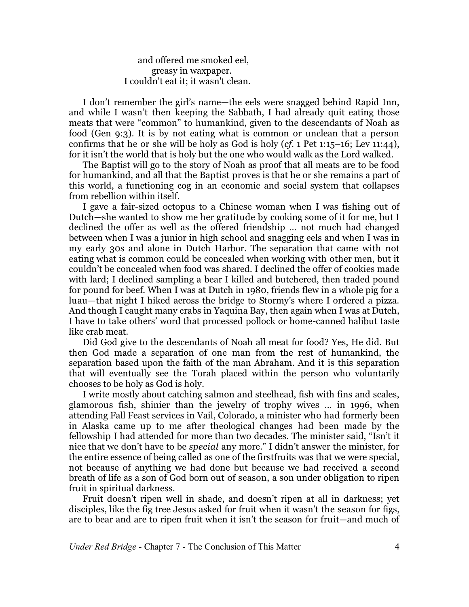and offered me smoked eel, greasy in waxpaper. I couldn't eat it; it wasn't clean.

I don't remember the girl's name—the eels were snagged behind Rapid Inn, and while I wasn't then keeping the Sabbath, I had already quit eating those meats that were "common" to humankind, given to the descendants of Noah as food (Gen 9:3). It is by not eating what is common or unclean that a person confirms that he or she will be holy as God is holy (*cf.* 1 Pet 1:15–16; Lev 11:44), for it isn't the world that is holy but the one who would walk as the Lord walked.

The Baptist will go to the story of Noah as proof that all meats are to be food for humankind, and all that the Baptist proves is that he or she remains a part of this world, a functioning cog in an economic and social system that collapses from rebellion within itself.

I gave a fair-sized octopus to a Chinese woman when I was fishing out of Dutch—she wanted to show me her gratitude by cooking some of it for me, but I declined the offer as well as the offered friendship … not much had changed between when I was a junior in high school and snagging eels and when I was in my early 30s and alone in Dutch Harbor. The separation that came with not eating what is common could be concealed when working with other men, but it couldn't be concealed when food was shared. I declined the offer of cookies made with lard; I declined sampling a bear I killed and butchered, then traded pound for pound for beef. When I was at Dutch in 1980, friends flew in a whole pig for a luau—that night I hiked across the bridge to Stormy's where I ordered a pizza. And though I caught many crabs in Yaquina Bay, then again when I was at Dutch, I have to take others' word that processed pollock or home-canned halibut taste like crab meat.

Did God give to the descendants of Noah all meat for food? Yes, He did. But then God made a separation of one man from the rest of humankind, the separation based upon the faith of the man Abraham. And it is this separation that will eventually see the Torah placed within the person who voluntarily chooses to be holy as God is holy.

I write mostly about catching salmon and steelhead, fish with fins and scales, glamorous fish, shinier than the jewelry of trophy wives … in 1996, when attending Fall Feast services in Vail, Colorado, a minister who had formerly been in Alaska came up to me after theological changes had been made by the fellowship I had attended for more than two decades. The minister said, "Isn't it nice that we don't have to be *special* any more." I didn't answer the minister, for the entire essence of being called as one of the firstfruits was that we were special, not because of anything we had done but because we had received a second breath of life as a son of God born out of season, a son under obligation to ripen fruit in spiritual darkness.

Fruit doesn't ripen well in shade, and doesn't ripen at all in darkness; yet disciples, like the fig tree Jesus asked for fruit when it wasn't the season for figs, are to bear and are to ripen fruit when it isn't the season for fruit—and much of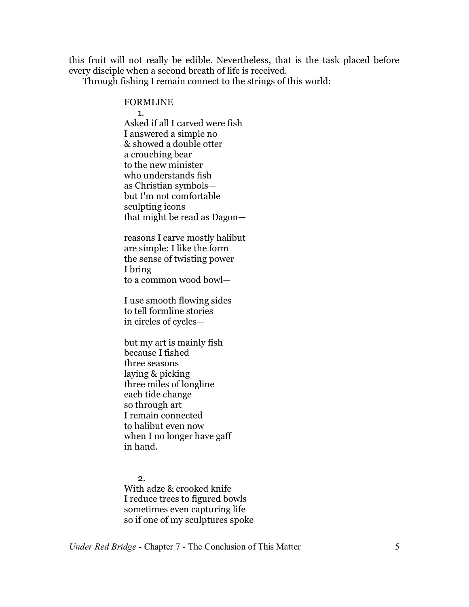this fruit will not really be edible. Nevertheless, that is the task placed before every disciple when a second breath of life is received.

Through fishing I remain connect to the strings of this world:

FORMLINE—

1. Asked if all I carved were fish I answered a simple no & showed a double otter a crouching bear to the new minister who understands fish as Christian symbols but I'm not comfortable sculpting icons that might be read as Dagon—

reasons I carve mostly halibut are simple: I like the form the sense of twisting power I bring to a common wood bowl—

I use smooth flowing sides to tell formline stories in circles of cycles—

but my art is mainly fish because I fished three seasons laying & picking three miles of longline each tide change so through art I remain connected to halibut even now when I no longer have gaff in hand.

2. With adze & crooked knife I reduce trees to figured bowls sometimes even capturing life so if one of my sculptures spoke

*Under Red Bridge* - Chapter 7 - The Conclusion of This Matter 5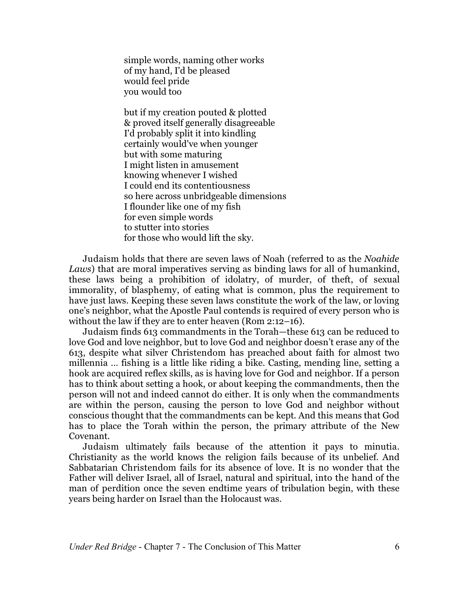simple words, naming other works of my hand, I'd be pleased would feel pride you would too

but if my creation pouted & plotted & proved itself generally disagreeable I'd probably split it into kindling certainly would've when younger but with some maturing I might listen in amusement knowing whenever I wished I could end its contentiousness so here across unbridgeable dimensions I flounder like one of my fish for even simple words to stutter into stories for those who would lift the sky.

Judaism holds that there are seven laws of Noah (referred to as the *Noahide Laws*) that are moral imperatives serving as binding laws for all of humankind, these laws being a prohibition of idolatry, of murder, of theft, of sexual immorality, of blasphemy, of eating what is common, plus the requirement to have just laws. Keeping these seven laws constitute the work of the law, or loving one's neighbor, what the Apostle Paul contends is required of every person who is without the law if they are to enter heaven (Rom 2:12–16).

Judaism finds 613 commandments in the Torah—these 613 can be reduced to love God and love neighbor, but to love God and neighbor doesn't erase any of the 613, despite what silver Christendom has preached about faith for almost two millennia … fishing is a little like riding a bike. Casting, mending line, setting a hook are acquired reflex skills, as is having love for God and neighbor. If a person has to think about setting a hook, or about keeping the commandments, then the person will not and indeed cannot do either. It is only when the commandments are within the person, causing the person to love God and neighbor without conscious thought that the commandments can be kept. And this means that God has to place the Torah within the person, the primary attribute of the New Covenant.

Judaism ultimately fails because of the attention it pays to minutia. Christianity as the world knows the religion fails because of its unbelief. And Sabbatarian Christendom fails for its absence of love. It is no wonder that the Father will deliver Israel, all of Israel, natural and spiritual, into the hand of the man of perdition once the seven endtime years of tribulation begin, with these years being harder on Israel than the Holocaust was.